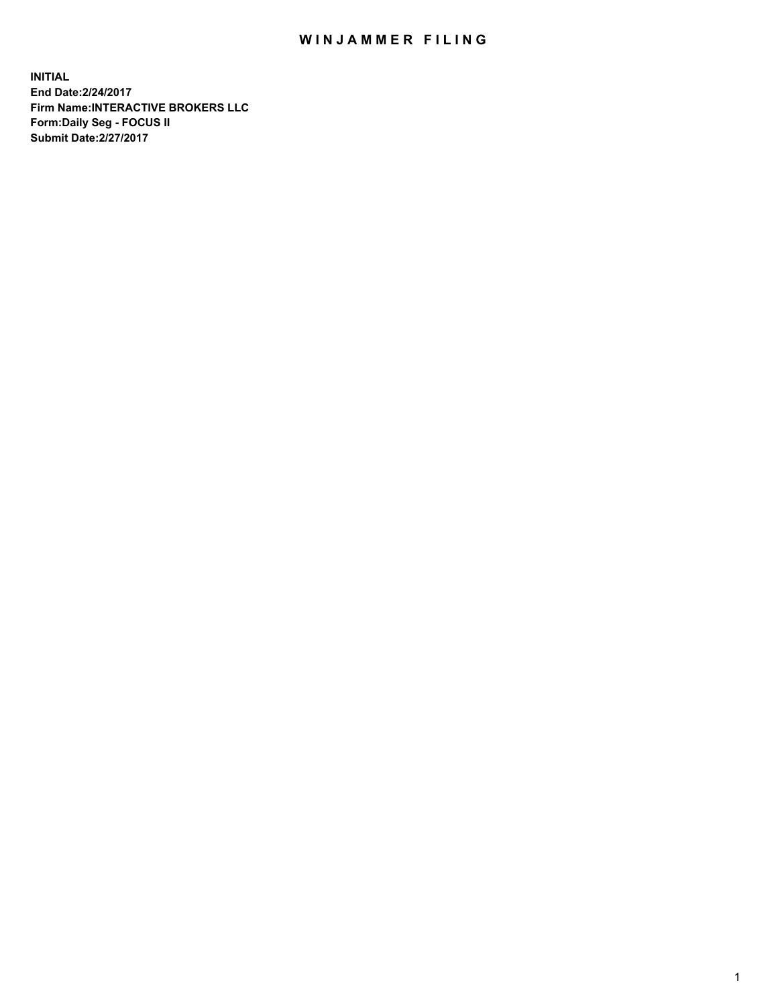## WIN JAMMER FILING

**INITIAL End Date:2/24/2017 Firm Name:INTERACTIVE BROKERS LLC Form:Daily Seg - FOCUS II Submit Date:2/27/2017**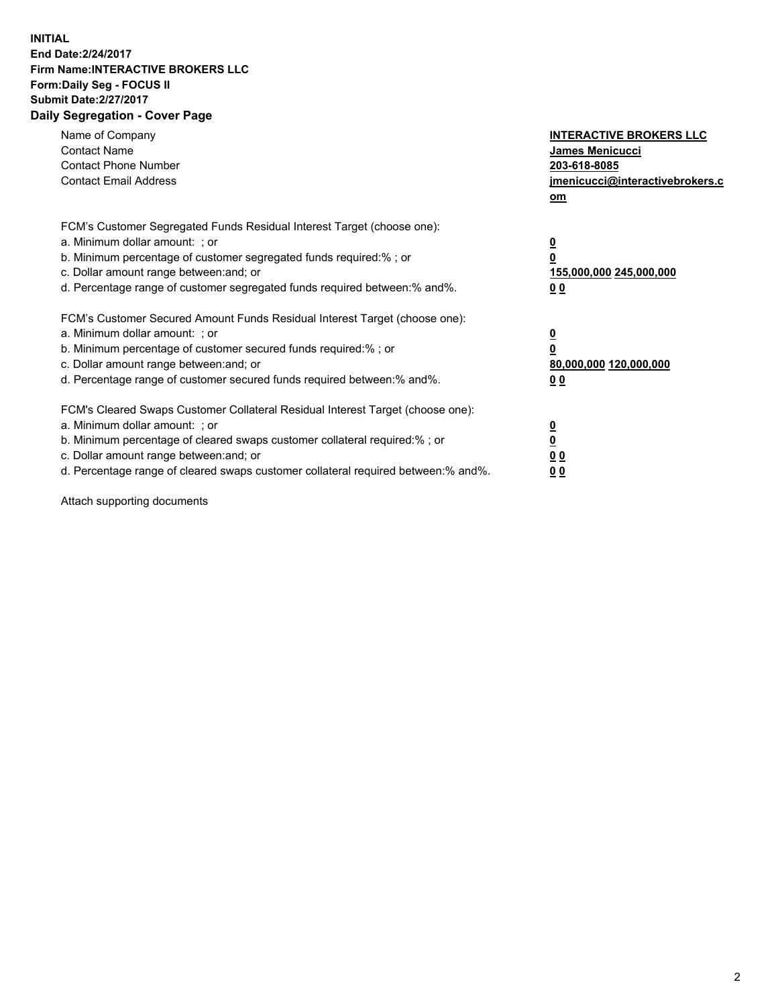## **INITIAL End Date:2/24/2017 Firm Name:INTERACTIVE BROKERS LLC Form:Daily Seg - FOCUS II Submit Date:2/27/2017 Daily Segregation - Cover Page**

| Name of Company<br><b>Contact Name</b><br><b>Contact Phone Number</b><br><b>Contact Email Address</b>                                                                                                                                                                                                                          | <b>INTERACTIVE BROKERS LLC</b><br><b>James Menicucci</b><br>203-618-8085<br>jmenicucci@interactivebrokers.c<br>om |
|--------------------------------------------------------------------------------------------------------------------------------------------------------------------------------------------------------------------------------------------------------------------------------------------------------------------------------|-------------------------------------------------------------------------------------------------------------------|
| FCM's Customer Segregated Funds Residual Interest Target (choose one):<br>a. Minimum dollar amount: ; or<br>b. Minimum percentage of customer segregated funds required:%; or<br>c. Dollar amount range between: and; or<br>d. Percentage range of customer segregated funds required between:% and%.                          | $\overline{\mathbf{0}}$<br>0<br>155,000,000 245,000,000<br>0 <sub>0</sub>                                         |
| FCM's Customer Secured Amount Funds Residual Interest Target (choose one):<br>a. Minimum dollar amount: ; or<br>b. Minimum percentage of customer secured funds required:%; or<br>c. Dollar amount range between: and; or<br>d. Percentage range of customer secured funds required between: % and %.                          | $\overline{\mathbf{0}}$<br>0<br>80,000,000 120,000,000<br>0 <sub>0</sub>                                          |
| FCM's Cleared Swaps Customer Collateral Residual Interest Target (choose one):<br>a. Minimum dollar amount: ; or<br>b. Minimum percentage of cleared swaps customer collateral required:% ; or<br>c. Dollar amount range between: and; or<br>d. Percentage range of cleared swaps customer collateral required between:% and%. | $\overline{\mathbf{0}}$<br>$\overline{\mathbf{0}}$<br>0 <sub>0</sub><br><u>00</u>                                 |

Attach supporting documents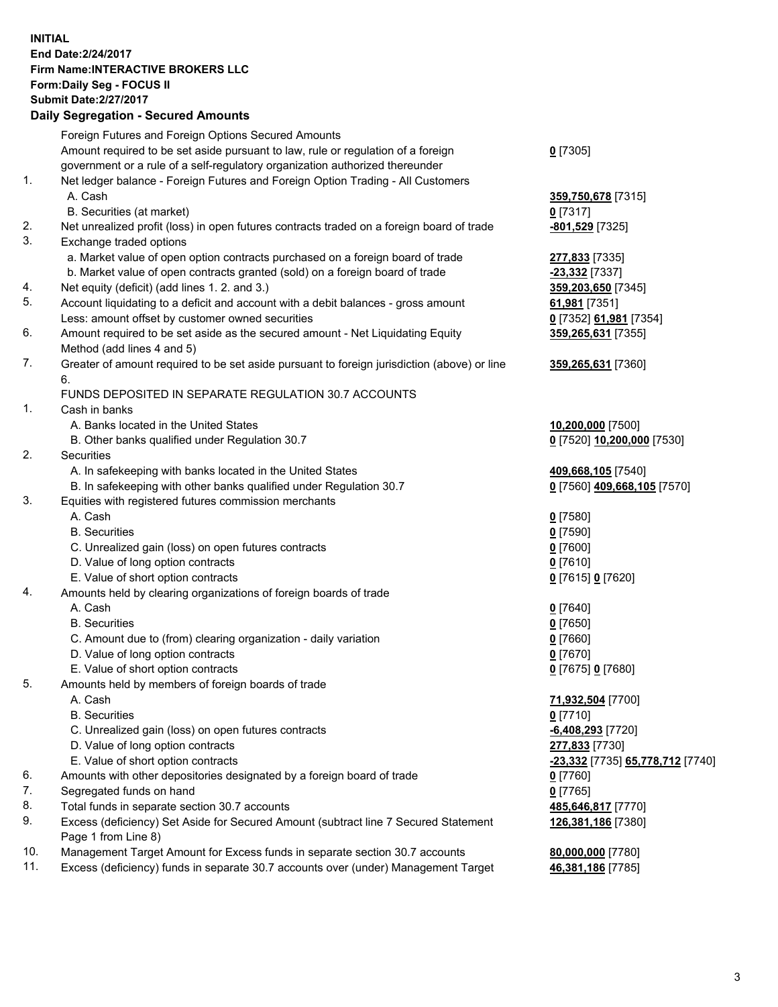## **INITIAL End Date:2/24/2017 Firm Name:INTERACTIVE BROKERS LLC Form:Daily Seg - FOCUS II Submit Date:2/27/2017**

|     | <b>Daily Segregation - Secured Amounts</b>                                                  |                                  |
|-----|---------------------------------------------------------------------------------------------|----------------------------------|
|     | Foreign Futures and Foreign Options Secured Amounts                                         |                                  |
|     | Amount required to be set aside pursuant to law, rule or regulation of a foreign            | $0$ [7305]                       |
|     | government or a rule of a self-regulatory organization authorized thereunder                |                                  |
| 1.  | Net ledger balance - Foreign Futures and Foreign Option Trading - All Customers             |                                  |
|     | A. Cash                                                                                     | 359,750,678 [7315]               |
|     | B. Securities (at market)                                                                   | $0$ [7317]                       |
| 2.  | Net unrealized profit (loss) in open futures contracts traded on a foreign board of trade   | -801,529 [7325]                  |
| 3.  | Exchange traded options                                                                     |                                  |
|     | a. Market value of open option contracts purchased on a foreign board of trade              | 277,833 [7335]                   |
|     | b. Market value of open contracts granted (sold) on a foreign board of trade                | <mark>-23,332</mark> [7337]      |
| 4.  | Net equity (deficit) (add lines 1.2. and 3.)                                                | 359,203,650 [7345]               |
| 5.  | Account liquidating to a deficit and account with a debit balances - gross amount           | 61,981 [7351]                    |
|     | Less: amount offset by customer owned securities                                            | 0 [7352] 61,981 [7354]           |
| 6.  | Amount required to be set aside as the secured amount - Net Liquidating Equity              | 359,265,631 [7355]               |
|     | Method (add lines 4 and 5)                                                                  |                                  |
| 7.  | Greater of amount required to be set aside pursuant to foreign jurisdiction (above) or line | 359,265,631 [7360]               |
|     | 6.                                                                                          |                                  |
|     | FUNDS DEPOSITED IN SEPARATE REGULATION 30.7 ACCOUNTS                                        |                                  |
| 1.  | Cash in banks                                                                               |                                  |
|     | A. Banks located in the United States                                                       | 10,200,000 [7500]                |
|     | B. Other banks qualified under Regulation 30.7                                              | 0 [7520] 10,200,000 [7530]       |
| 2.  | Securities                                                                                  |                                  |
|     | A. In safekeeping with banks located in the United States                                   | 409,668,105 [7540]               |
|     | B. In safekeeping with other banks qualified under Regulation 30.7                          | 0 [7560] 409,668,105 [7570]      |
| 3.  | Equities with registered futures commission merchants                                       |                                  |
|     | A. Cash                                                                                     | $0$ [7580]                       |
|     | <b>B.</b> Securities                                                                        | <u>0</u> [7590]                  |
|     | C. Unrealized gain (loss) on open futures contracts                                         | 0 [7600]                         |
|     | D. Value of long option contracts                                                           | $0$ [7610]                       |
|     | E. Value of short option contracts                                                          | 0 [7615] 0 [7620]                |
| 4.  | Amounts held by clearing organizations of foreign boards of trade                           |                                  |
|     | A. Cash                                                                                     | $0$ [7640]                       |
|     | <b>B.</b> Securities                                                                        | <u>0</u> [7650]                  |
|     | C. Amount due to (from) clearing organization - daily variation                             | 0 [7660]                         |
|     | D. Value of long option contracts                                                           | $0$ [7670]                       |
|     | E. Value of short option contracts                                                          | 0 [7675] 0 [7680]                |
| 5.  | Amounts held by members of foreign boards of trade                                          |                                  |
|     | A. Cash                                                                                     | 71,932,504 [7700]                |
|     | <b>B.</b> Securities                                                                        | 0 [7710]                         |
|     | C. Unrealized gain (loss) on open futures contracts                                         | <u>-6,408,293</u> [7720]         |
|     | D. Value of long option contracts                                                           | 277,833 [7730]                   |
|     | E. Value of short option contracts                                                          | -23,332 [7735] 65,778,712 [7740] |
| 6.  | Amounts with other depositories designated by a foreign board of trade                      | 0 [7760]                         |
| 7.  | Segregated funds on hand                                                                    | $0$ [7765]                       |
| 8.  | Total funds in separate section 30.7 accounts                                               | 485,646,817 [7770]               |
| 9.  | Excess (deficiency) Set Aside for Secured Amount (subtract line 7 Secured Statement         | 126,381,186 [7380]               |
|     | Page 1 from Line 8)                                                                         |                                  |
| 10. | Management Target Amount for Excess funds in separate section 30.7 accounts                 | 80,000,000 [7780]                |
| 11. | Excess (deficiency) funds in separate 30.7 accounts over (under) Management Target          | 46,381,186 [7785]                |
|     |                                                                                             |                                  |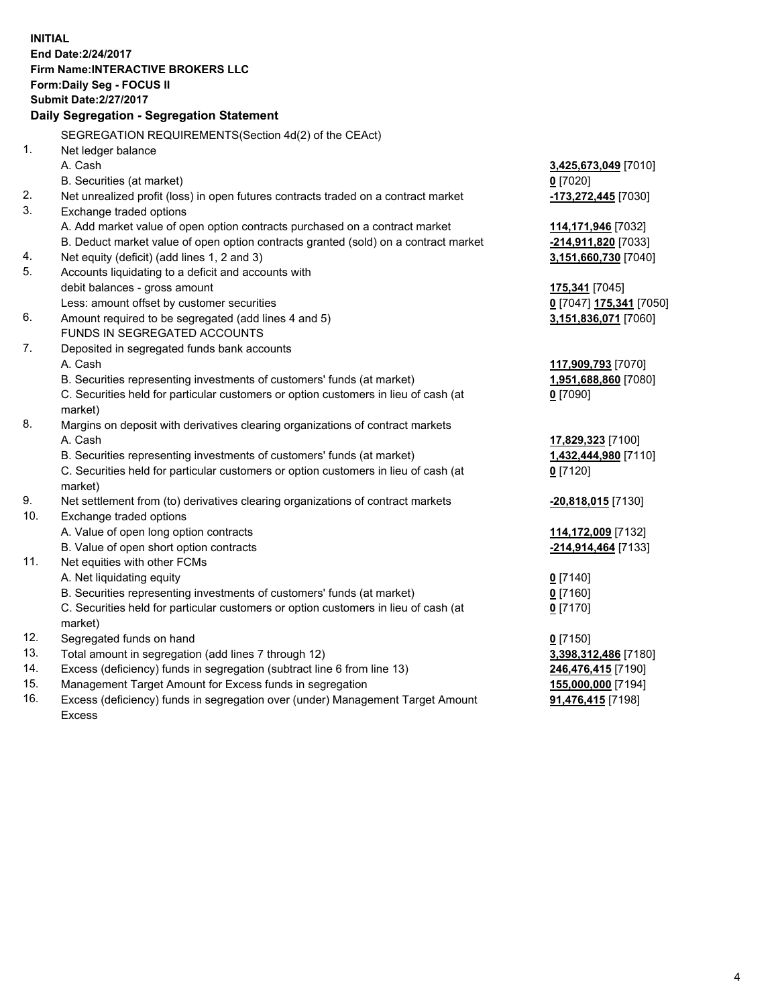**INITIAL End Date:2/24/2017 Firm Name:INTERACTIVE BROKERS LLC Form:Daily Seg - FOCUS II Submit Date:2/27/2017 Daily Segregation - Segregation Statement** SEGREGATION REQUIREMENTS(Section 4d(2) of the CEAct) 1. Net ledger balance A. Cash **3,425,673,049** [7010] B. Securities (at market) **0** [7020] 2. Net unrealized profit (loss) in open futures contracts traded on a contract market **-173,272,445** [7030] 3. Exchange traded options A. Add market value of open option contracts purchased on a contract market **114,171,946** [7032] B. Deduct market value of open option contracts granted (sold) on a contract market **-214,911,820** [7033] 4. Net equity (deficit) (add lines 1, 2 and 3) **3,151,660,730** [7040] 5. Accounts liquidating to a deficit and accounts with debit balances - gross amount **175,341** [7045] Less: amount offset by customer securities **0** [7047] **175,341** [7050] 6. Amount required to be segregated (add lines 4 and 5) **3,151,836,071** [7060] FUNDS IN SEGREGATED ACCOUNTS 7. Deposited in segregated funds bank accounts A. Cash **117,909,793** [7070] B. Securities representing investments of customers' funds (at market) **1,951,688,860** [7080] C. Securities held for particular customers or option customers in lieu of cash (at market) **0** [7090] 8. Margins on deposit with derivatives clearing organizations of contract markets A. Cash **17,829,323** [7100] B. Securities representing investments of customers' funds (at market) **1,432,444,980** [7110] C. Securities held for particular customers or option customers in lieu of cash (at market) **0** [7120] 9. Net settlement from (to) derivatives clearing organizations of contract markets **-20,818,015** [7130] 10. Exchange traded options A. Value of open long option contracts **114,172,009** [7132] B. Value of open short option contracts **-214,914,464** [7133] 11. Net equities with other FCMs A. Net liquidating equity **0** [7140] B. Securities representing investments of customers' funds (at market) **0** [7160] C. Securities held for particular customers or option customers in lieu of cash (at market) **0** [7170] 12. Segregated funds on hand **0** [7150] 13. Total amount in segregation (add lines 7 through 12) **3,398,312,486** [7180] 14. Excess (deficiency) funds in segregation (subtract line 6 from line 13) **246,476,415** [7190] 15. Management Target Amount for Excess funds in segregation **155,000,000** [7194]

16. Excess (deficiency) funds in segregation over (under) Management Target Amount Excess

**91,476,415** [7198]